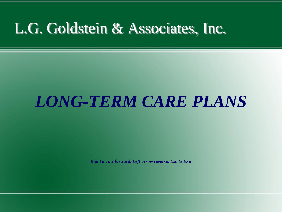#### L.G. Goldstein & Associates, Inc.

#### *LONG-TERM CARE PLANS*

*Right arrow forward, Left arrow reverse, Esc to Exit*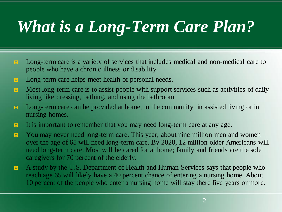#### *What is a Long-Term Care Plan?*

- **E** Long-term care is a variety of services that includes medical and non-medical care to people who have a chronic illness or disability.
- **E** Long-term care helps meet health or personal needs.
- $\Box$  Most long-term care is to assist people with support services such as activities of daily living like dressing, bathing, and using the bathroom.
- $\Box$  Long-term care can be provided at home, in the community, in assisted living or in nursing homes.
- It is important to remember that you may need long-term care at any age.
- **E** You may never need long-term care. This year, about nine million men and women over the age of 65 will need long-term care. By 2020, 12 million older Americans will need long-term care. Most will be cared for at home; family and friends are the sole caregivers for 70 percent of the elderly.
- A study by the U.S. Department of Health and Human Services says that people who reach age 65 will likely have a 40 percent chance of entering a nursing home. About 10 percent of the people who enter a nursing home will stay there five years or more.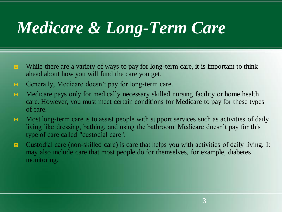## *Medicare & Long-Term Care*

- While there are a variety of ways to pay for long-term care, it is important to think ahead about how you will fund the care you get.
- **E** Generally, Medicare doesn't pay for long-term care.
- **E** Medicare pays only for medically necessary skilled nursing facility or home health care. However, you must meet certain conditions for Medicare to pay for these types of care.
- $\Box$  Most long-term care is to assist people with support services such as activities of daily living like dressing, bathing, and using the bathroom. Medicare doesn't pay for this type of care called "custodial care".
- Custodial care (non-skilled care) is care that helps you with activities of daily living. It may also include care that most people do for themselves, for example, diabetes monitoring.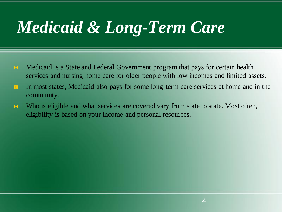## *Medicaid & Long-Term Care*

- **E** Medicaid is a State and Federal Government program that pays for certain health services and nursing home care for older people with low incomes and limited assets.
- In most states, Medicaid also pays for some long-term care services at home and in the community.
- Who is eligible and what services are covered vary from state to state. Most often, eligibility is based on your income and personal resources.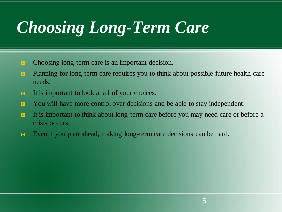## *Choosing Long-Term Care*

- **E** Choosing long-term care is an important decision.
- **Planning for long-term care requires you to think about possible future health care** needs.
- It is important to look at all of your choices.
- You will have more control over decisions and be able to stay independent.
- It is important to think about long-term care before you may need care or before a crisis occurs.
- **Even** if you plan ahead, making long-term care decisions can be hard.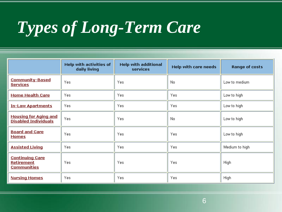# *Types of Long-Term Care*

|                                                                   | <b>Help with activities of</b><br>daily living | <b>Help with additional</b><br>services | Help with care needs | <b>Range of costs</b> |
|-------------------------------------------------------------------|------------------------------------------------|-----------------------------------------|----------------------|-----------------------|
| <b>Community-Based</b><br><b>Services</b>                         | Yes                                            | Yes                                     | No                   | Low to medium         |
| <b>Home Health Care</b>                                           | Yes                                            | Yes.                                    | Yes                  | Low to high           |
| <b>In-Law Apartments</b>                                          | Yes                                            | Yes.                                    | Yes.                 | Low to high           |
| <b>Housing for Aging and</b><br><b>Disabled Individuals</b>       | Yes                                            | Yes                                     | No.                  | Low to high           |
| <b>Board and Care</b><br><b>Homes</b>                             | Yes                                            | Yes.                                    | Yes                  | Low to high           |
| <b>Assisted Living</b>                                            | Yes                                            | Yes.                                    | Yes                  | Medium to high        |
| <b>Continuing Care</b><br><b>Retirement</b><br><b>Communities</b> | Yes                                            | Yes.                                    | Yes                  | High                  |
| <b>Nursing Homes</b>                                              | Yes                                            | Yes.                                    | Yes                  | High                  |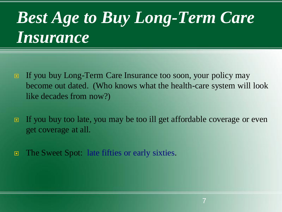#### *Best Age to Buy Long-Term Care Insurance*

- If you buy Long-Term Care Insurance too soon, your policy may become out dated. (Who knows what the health-care system will look like decades from now?)
- If you buy too late, you may be too ill get affordable coverage or even get coverage at all.
- The Sweet Spot: late fifties or early sixties.